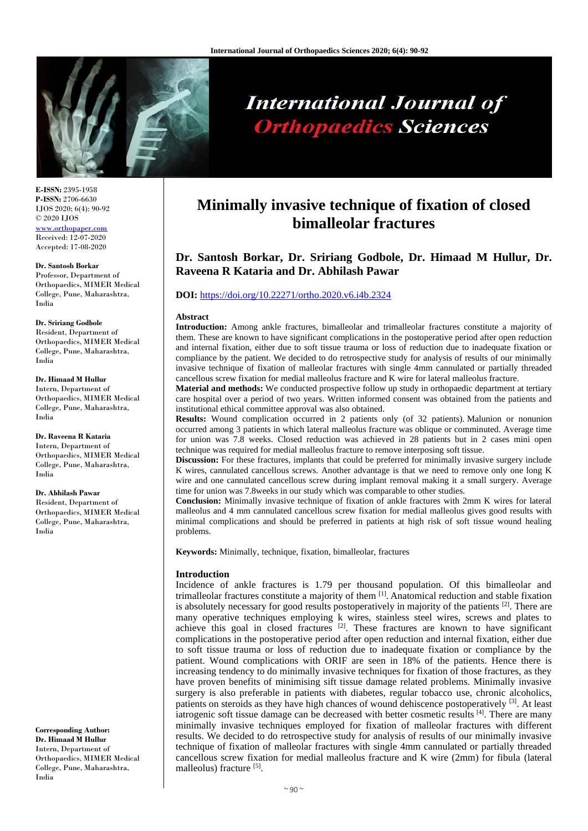

# **International Journal of Orthopaedics Sciences**

**E-ISSN:** 2395-1958 **P-ISSN:** 2706-6630 IJOS 2020; 6(4): 90-92 © 2020 IJOS [www.orthopaper.com](http://www.orthopaper.com/) Received: 12-07-2020 Accepted: 17-08-2020

#### **Dr. Santosh Borkar**

Professor, Department of Orthopaedics, MIMER Medical College, Pune, Maharashtra, India

#### **Dr. Sririang Godbole**

Resident, Department of Orthopaedics, MIMER Medical College, Pune, Maharashtra, India

#### **Dr. Himaad M Hullur**

Intern, Department of Orthopaedics, MIMER Medical College, Pune, Maharashtra, India

**Dr. Raveena R Kataria** Intern, Department of Orthopaedics, MIMER Medical College, Pune, Maharashtra, India

#### **Dr. Abhilash Pawar**

Resident, Department of Orthopaedics, MIMER Medical College, Pune, Maharashtra, India

**Corresponding Author: Dr. Himaad M Hullur** Intern, Department of Orthopaedics, MIMER Medical College, Pune, Maharashtra, India

## **Minimally invasive technique of fixation of closed bimalleolar fractures**

### **Dr. Santosh Borkar, Dr. Sririang Godbole, Dr. Himaad M Hullur, Dr. Raveena R Kataria and Dr. Abhilash Pawar**

#### **DOI:** <https://doi.org/10.22271/ortho.2020.v6.i4b.2324>

#### **Abstract**

**Introduction:** Among ankle fractures, bimalleolar and trimalleolar fractures constitute a majority of them. These are known to have significant complications in the postoperative period after open reduction and internal fixation, either due to soft tissue trauma or loss of reduction due to inadequate fixation or compliance by the patient. We decided to do retrospective study for analysis of results of our minimally invasive technique of fixation of malleolar fractures with single 4mm cannulated or partially threaded cancellous screw fixation for medial malleolus fracture and K wire for lateral malleolus fracture.

**Material and methods:** We conducted prospective follow up study in orthopaedic department at tertiary care hospital over a period of two years. Written informed consent was obtained from the patients and institutional ethical committee approval was also obtained.

**Results:** Wound complication occurred in 2 patients only (of 32 patients). Malunion or nonunion occurred among 3 patients in which lateral malleolus fracture was oblique or comminuted. Average time for union was 7.8 weeks. Closed reduction was achieved in 28 patients but in 2 cases mini open technique was required for medial malleolus fracture to remove interposing soft tissue.

**Discussion:** For these fractures, implants that could be preferred for minimally invasive surgery include K wires, cannulated cancellous screws. Another advantage is that we need to remove only one long K wire and one cannulated cancellous screw during implant removal making it a small surgery. Average time for union was 7.8weeks in our study which was comparable to other studies.

**Conclusion:** Minimally invasive technique of fixation of ankle fractures with 2mm K wires for lateral malleolus and 4 mm cannulated cancellous screw fixation for medial malleolus gives good results with minimal complications and should be preferred in patients at high risk of soft tissue wound healing problems.

**Keywords:** Minimally, technique, fixation, bimalleolar, fractures

#### **Introduction**

Incidence of ankle fractures is 1.79 per thousand population. Of this bimalleolar and trimalleolar fractures constitute a majority of them [1]. Anatomical reduction and stable fixation is absolutely necessary for good results postoperatively in majority of the patients  $[2]$ . There are many operative techniques employing k wires, stainless steel wires, screws and plates to achieve this goal in closed fractures  $[2]$ . These fractures are known to have significant complications in the postoperative period after open reduction and internal fixation, either due to soft tissue trauma or loss of reduction due to inadequate fixation or compliance by the patient. Wound complications with ORIF are seen in 18% of the patients. Hence there is increasing tendency to do minimally invasive techniques for fixation of those fractures, as they have proven benefits of minimising sift tissue damage related problems. Minimally invasive surgery is also preferable in patients with diabetes, regular tobacco use, chronic alcoholics, patients on steroids as they have high chances of wound dehiscence postoperatively <sup>[3]</sup>. At least iatrogenic soft tissue damage can be decreased with better cosmetic results [4]. There are many minimally invasive techniques employed for fixation of malleolar fractures with different results. We decided to do retrospective study for analysis of results of our minimally invasive technique of fixation of malleolar fractures with single 4mm cannulated or partially threaded cancellous screw fixation for medial malleolus fracture and K wire (2mm) for fibula (lateral malleolus) fracture [5].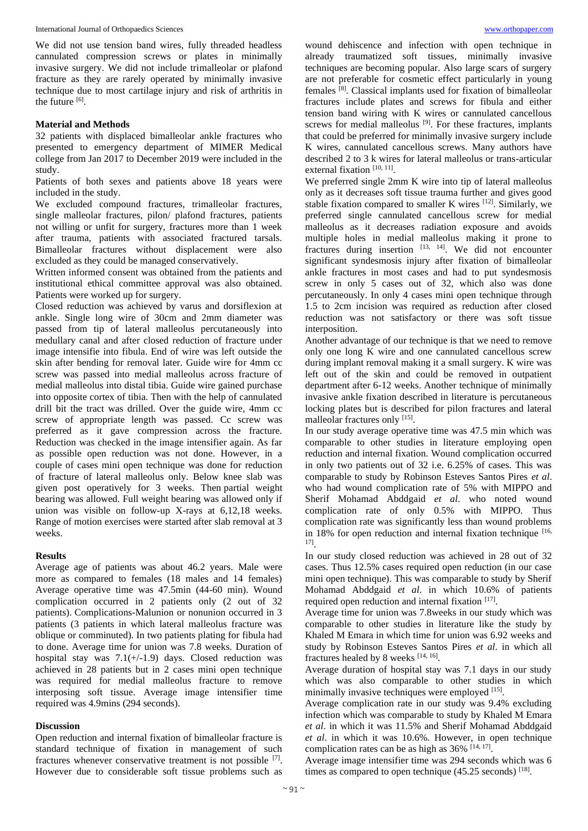We did not use tension band wires, fully threaded headless cannulated compression screws or plates in minimally invasive surgery. We did not include trimalleolar or plafond fracture as they are rarely operated by minimally invasive technique due to most cartilage injury and risk of arthritis in the future  $^{[6]}$ .

#### **Material and Methods**

32 patients with displaced bimalleolar ankle fractures who presented to emergency department of MIMER Medical college from Jan 2017 to December 2019 were included in the study.

Patients of both sexes and patients above 18 years were included in the study.

We excluded compound fractures, trimalleolar fractures, single malleolar fractures, pilon/ plafond fractures, patients not willing or unfit for surgery, fractures more than 1 week after trauma, patients with associated fractured tarsals. Bimalleolar fractures without displacement were also excluded as they could be managed conservatively.

Written informed consent was obtained from the patients and institutional ethical committee approval was also obtained. Patients were worked up for surgery.

Closed reduction was achieved by varus and dorsiflexion at ankle. Single long wire of 30cm and 2mm diameter was passed from tip of lateral malleolus percutaneously into medullary canal and after closed reduction of fracture under image intensifie into fibula. End of wire was left outside the skin after bending for removal later. Guide wire for 4mm cc screw was passed into medial malleolus across fracture of medial malleolus into distal tibia. Guide wire gained purchase into opposite cortex of tibia. Then with the help of cannulated drill bit the tract was drilled. Over the guide wire, 4mm cc screw of appropriate length was passed. Cc screw was preferred as it gave compression across the fracture. Reduction was checked in the image intensifier again. As far as possible open reduction was not done. However, in a couple of cases mini open technique was done for reduction of fracture of lateral malleolus only. Below knee slab was given post operatively for 3 weeks. Then partial weight bearing was allowed. Full weight bearing was allowed only if union was visible on follow-up X-rays at 6,12,18 weeks. Range of motion exercises were started after slab removal at 3 weeks.

#### **Results**

Average age of patients was about 46.2 years. Male were more as compared to females (18 males and 14 females) Average operative time was 47.5min (44-60 min). Wound complication occurred in 2 patients only (2 out of 32 patients). Complications-Malunion or nonunion occurred in 3 patients (3 patients in which lateral malleolus fracture was oblique or comminuted). In two patients plating for fibula had to done. Average time for union was 7.8 weeks. Duration of hospital stay was  $7.1(+/-1.9)$  days. Closed reduction was achieved in 28 patients but in 2 cases mini open technique was required for medial malleolus fracture to remove interposing soft tissue. Average image intensifier time required was 4.9mins (294 seconds).

#### **Discussion**

Open reduction and internal fixation of bimalleolar fracture is standard technique of fixation in management of such fractures whenever conservative treatment is not possible [7]. However due to considerable soft tissue problems such as wound dehiscence and infection with open technique in already traumatized soft tissues, minimally invasive techniques are becoming popular. Also large scars of surgery are not preferable for cosmetic effect particularly in young females [8]. Classical implants used for fixation of bimalleolar fractures include plates and screws for fibula and either tension band wiring with K wires or cannulated cancellous screws for medial malleolus  $[9]$ . For these fractures, implants that could be preferred for minimally invasive surgery include K wires, cannulated cancellous screws. Many authors have described 2 to 3 k wires for lateral malleolus or trans-articular external fixation [10, 11].

We preferred single 2mm K wire into tip of lateral malleolus only as it decreases soft tissue trauma further and gives good stable fixation compared to smaller K wires  $[12]$ . Similarly, we preferred single cannulated cancellous screw for medial malleolus as it decreases radiation exposure and avoids multiple holes in medial malleolus making it prone to fractures during insertion  $^{[13, 14]}$ . We did not encounter significant syndesmosis injury after fixation of bimalleolar ankle fractures in most cases and had to put syndesmosis screw in only 5 cases out of 32, which also was done percutaneously. In only 4 cases mini open technique through 1.5 to 2cm incision was required as reduction after closed reduction was not satisfactory or there was soft tissue interposition.

Another advantage of our technique is that we need to remove only one long K wire and one cannulated cancellous screw during implant removal making it a small surgery. K wire was left out of the skin and could be removed in outpatient department after 6-12 weeks. Another technique of minimally invasive ankle fixation described in literature is percutaneous locking plates but is described for pilon fractures and lateral malleolar fractures only [15].

In our study average operative time was 47.5 min which was comparable to other studies in literature employing open reduction and internal fixation. Wound complication occurred in only two patients out of 32 i.e. 6.25% of cases. This was comparable to study by Robinson Esteves Santos Pires *et al*. who had wound complication rate of 5% with MIPPO and Sherif Mohamad Abddgaid *et al*. who noted wound complication rate of only 0.5% with MIPPO. Thus complication rate was significantly less than wound problems in 18% for open reduction and internal fixation technique  $[16, 16]$ 17] .

In our study closed reduction was achieved in 28 out of 32 cases. Thus 12.5% cases required open reduction (in our case mini open technique). This was comparable to study by Sherif Mohamad Abddgaid *et al*. in which 10.6% of patients required open reduction and internal fixation [17].

Average time for union was 7.8weeks in our study which was comparable to other studies in literature like the study by Khaled M Emara in which time for union was 6.92 weeks and study by Robinson Esteves Santos Pires *et al*. in which all fractures healed by 8 weeks  $[14, 16]$ .

Average duration of hospital stay was 7.1 days in our study which was also comparable to other studies in which minimally invasive techniques were employed [15].

Average complication rate in our study was 9.4% excluding infection which was comparable to study by Khaled M Emara *et al*. in which it was 11.5% and Sherif Mohamad Abddgaid *et al*. in which it was 10.6%. However, in open technique complication rates can be as high as  $36\%$  [14, 17].

Average image intensifier time was 294 seconds which was 6 times as compared to open technique  $(45.25 \text{ seconds})$  [18].